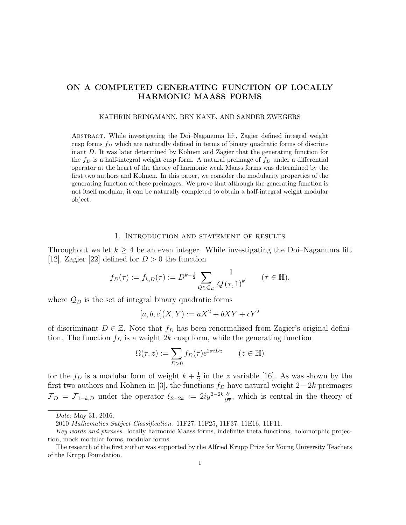## ON A COMPLETED GENERATING FUNCTION OF LOCALLY HARMONIC MAASS FORMS

#### KATHRIN BRINGMANN, BEN KANE, AND SANDER ZWEGERS

Abstract. While investigating the Doi–Naganuma lift, Zagier defined integral weight cusp forms  $f_D$  which are naturally defined in terms of binary quadratic forms of discriminant D. It was later determined by Kohnen and Zagier that the generating function for the  $f_D$  is a half-integral weight cusp form. A natural preimage of  $f_D$  under a differential operator at the heart of the theory of harmonic weak Maass forms was determined by the first two authors and Kohnen. In this paper, we consider the modularity properties of the generating function of these preimages. We prove that although the generating function is not itself modular, it can be naturally completed to obtain a half-integral weight modular object.

#### 1. Introduction and statement of results

Throughout we let  $k \geq 4$  be an even integer. While investigating the Doi–Naganuma lift [12], Zagier [22] defined for  $D > 0$  the function

$$
f_D(\tau) := f_{k,D}(\tau) := D^{k-\frac{1}{2}} \sum_{Q \in \mathcal{Q}_D} \frac{1}{Q(\tau,1)^k} \qquad (\tau \in \mathbb{H}),
$$

where  $\mathcal{Q}_D$  is the set of integral binary quadratic forms

$$
[a, b, c](X, Y) := aX^2 + bXY + cY^2
$$

of discriminant  $D \in \mathbb{Z}$ . Note that  $f_D$  has been renormalized from Zagier's original definition. The function  $f_D$  is a weight 2k cusp form, while the generating function

$$
\Omega(\tau, z) := \sum_{D>0} f_D(\tau) e^{2\pi i D z} \qquad (z \in \mathbb{H})
$$

for the  $f_D$  is a modular form of weight  $k + \frac{1}{2}$  $\frac{1}{2}$  in the z variable [16]. As was shown by the first two authors and Kohnen in [3], the functions  $f_D$  have natural weight 2−2k preimages  $\mathcal{F}_D = \mathcal{F}_{1-k,D}$  under the operator  $\xi_{2-2k} := 2iy^{2-2k}\frac{\partial}{\partial \overline{\tau}}$ , which is central in the theory of

Date: May 31, 2016.

<sup>2010</sup> Mathematics Subject Classification. 11F27, 11F25, 11F37, 11E16, 11F11.

Key words and phrases. locally harmonic Maass forms, indefinite theta functions, holomorphic projection, mock modular forms, modular forms.

The research of the first author was supported by the Alfried Krupp Prize for Young University Teachers of the Krupp Foundation.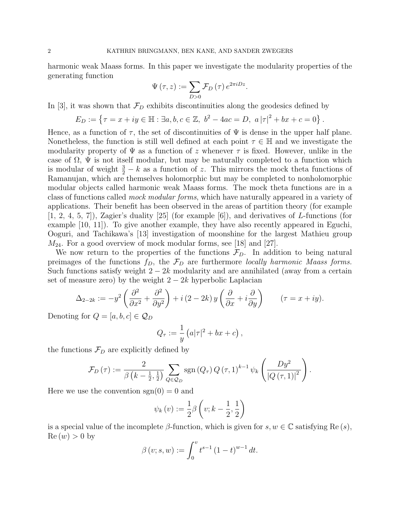harmonic weak Maass forms. In this paper we investigate the modularity properties of the generating function

$$
\Psi\left(\tau,z\right) := \sum_{D>0} \mathcal{F}_D\left(\tau\right) e^{2\pi i D z}.
$$

In [3], it was shown that  $\mathcal{F}_D$  exhibits discontinuities along the geodesics defined by

$$
E_D := \{ \tau = x + iy \in \mathbb{H} : \exists a, b, c \in \mathbb{Z}, \ b^2 - 4ac = D, \ a|\tau|^2 + bx + c = 0 \}.
$$

Hence, as a function of  $\tau$ , the set of discontinuities of  $\Psi$  is dense in the upper half plane. Nonetheless, the function is still well defined at each point  $\tau \in \mathbb{H}$  and we investigate the modularity property of  $\Psi$  as a function of z whenever  $\tau$  is fixed. However, unlike in the case of  $\Omega$ ,  $\Psi$  is not itself modular, but may be naturally completed to a function which is modular of weight  $\frac{3}{2} - k$  as a function of z. This mirrors the mock theta functions of Ramanujan, which are themselves holomorphic but may be completed to nonholomorphic modular objects called harmonic weak Maass forms. The mock theta functions are in a class of functions called mock modular forms, which have naturally appeared in a variety of applications. Their benefit has been observed in the areas of partition theory (for example  $[1, 2, 4, 5, 7]$ , Zagier's duality  $[25]$  (for example  $[6]$ ), and derivatives of L-functions (for example [10, 11]). To give another example, they have also recently appeared in Eguchi, Ooguri, and Tachikawa's [13] investigation of moonshine for the largest Mathieu group  $M_{24}$ . For a good overview of mock modular forms, see [18] and [27].

We now return to the properties of the functions  $\mathcal{F}_D$ . In addition to being natural preimages of the functions  $f_D$ , the  $\mathcal{F}_D$  are furthermore locally harmonic Maass forms. Such functions satisfy weight  $2 - 2k$  modularity and are annihilated (away from a certain set of measure zero) by the weight  $2 - 2k$  hyperbolic Laplacian

$$
\Delta_{2-2k} := -y^2 \left( \frac{\partial^2}{\partial x^2} + \frac{\partial^2}{\partial y^2} \right) + i (2 - 2k) y \left( \frac{\partial}{\partial x} + i \frac{\partial}{\partial y} \right) \qquad (\tau = x + iy).
$$

Denoting for  $Q = [a, b, c] \in \mathcal{Q}_D$ 

$$
Q_{\tau} := \frac{1}{y} \left( a|\tau|^2 + bx + c \right),
$$

the functions  $\mathcal{F}_D$  are explicitly defined by

$$
\mathcal{F}_D(\tau) := \frac{2}{\beta\left(k-\frac{1}{2},\frac{1}{2}\right)} \sum_{Q \in \mathcal{Q}_D} \text{sgn}\left(Q_\tau\right) Q\left(\tau,1\right)^{k-1} \psi_k\left(\frac{D y^2}{\left|Q\left(\tau,1\right)\right|^2}\right).
$$

Here we use the convention  $sgn(0) = 0$  and

$$
\psi_k(v) := \frac{1}{2}\beta\left(v;k-\frac{1}{2},\frac{1}{2}\right)
$$

is a special value of the incomplete  $\beta$ -function, which is given for  $s, w \in \mathbb{C}$  satisfying Re(s),  $\text{Re}(w) > 0$  by

$$
\beta(v;s,w) := \int_0^v t^{s-1} (1-t)^{w-1} dt.
$$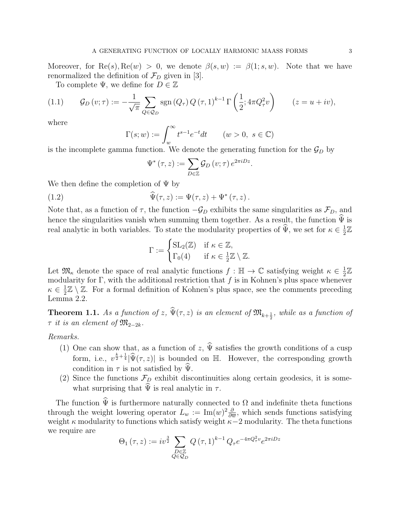Moreover, for  $\text{Re}(s), \text{Re}(w) > 0$ , we denote  $\beta(s, w) := \beta(1, s, w)$ . Note that we have renormalized the definition of  $\mathcal{F}_D$  given in [3].

To complete  $\Psi$ , we define for  $D \in \mathbb{Z}$ 

$$
(1.1) \qquad \mathcal{G}_D\left(v;\tau\right) := -\frac{1}{\sqrt{\pi}} \sum_{Q \in \mathcal{Q}_D} \text{sgn}\left(Q_\tau\right) Q\left(\tau,1\right)^{k-1} \Gamma\left(\frac{1}{2}; 4\pi Q_\tau^2 v\right) \qquad (z = u + iv),
$$

where

$$
\Gamma(s; w) := \int_{w}^{\infty} t^{s-1} e^{-t} dt \qquad (w > 0, \ s \in \mathbb{C})
$$

is the incomplete gamma function. We denote the generating function for the  $\mathcal{G}_D$  by

$$
\Psi^*(\tau, z) := \sum_{D \in \mathbb{Z}} \mathcal{G}_D(v; \tau) e^{2\pi i D z}.
$$

We then define the completion of  $\Psi$  by

(1.2) 
$$
\widehat{\Psi}(\tau,z) := \Psi(\tau,z) + \Psi^*(\tau,z).
$$

Note that, as a function of  $\tau$ , the function  $-\mathcal{G}_D$  exhibits the same singularities as  $\mathcal{F}_D$ , and hence the singularities vanish when summing them together. As a result, the function  $\hat{\Psi}$  is real analytic in both variables. To state the modularity properties of  $\hat{\Psi}$ , we set for  $\kappa \in \frac{1}{2}$  $\frac{1}{2}\mathbb{Z}$ 

$$
\Gamma := \begin{cases} \operatorname{SL}_2(\mathbb{Z}) & \text{if } \kappa \in \mathbb{Z}, \\ \Gamma_0(4) & \text{if } \kappa \in \frac{1}{2}\mathbb{Z} \setminus \mathbb{Z}. \end{cases}
$$

Let  $\mathfrak{M}_{\kappa}$  denote the space of real analytic functions  $f : \mathbb{H} \to \mathbb{C}$  satisfying weight  $\kappa \in \frac{1}{2}$  $\frac{1}{2}\mathbb{Z}$ modularity for Γ, with the additional restriction that f is in Kohnen's plus space whenever  $\kappa \in \frac{1}{2}$  $\frac{1}{2}\mathbb{Z}\setminus\mathbb{Z}$ . For a formal definition of Kohnen's plus space, see the comments preceding Lemma 2.2.

**Theorem 1.1.** As a function of z,  $\Psi(\tau, z)$  is an element of  $\mathfrak{M}_{k+\frac{1}{2}}$ , while as a function of  $\tau$  it is an element of  $\mathfrak{M}_{2-2k}$ .

#### Remarks.

- (1) One can show that, as a function of z,  $\hat{\Psi}$  satisfies the growth conditions of a cusp form, i.e.,  $v^{\frac{k}{2}+\frac{1}{4}}|\hat{\Psi}(\tau,z)|$  is bounded on H. However, the corresponding growth condition in  $\tau$  is not satisfied by  $\Psi$ .
- (2) Since the functions  $\mathcal{F}_D$  exhibit discontinuities along certain geodesics, it is somewhat surprising that  $\hat{\Psi}$  is real analytic in  $\tau$ .

The function  $\hat{\Psi}$  is furthermore naturally connected to  $\Omega$  and indefinite theta functions through the weight lowering operator  $L_w := \text{Im}(w)^2 \frac{\partial}{\partial \bar{v}}$  $\frac{\partial}{\partial w}$ , which sends functions satisfying weight  $\kappa$  modularity to functions which satisfy weight  $\kappa-2$  modularity. The theta functions we require are

$$
\Theta_1(\tau, z) := iv^{\frac{3}{2}} \sum_{\substack{D \in \mathbb{Z} \\ Q \in \mathcal{Q}_D}} Q(\tau, 1)^{k-1} Q_\tau e^{-4\pi Q_\tau^2 v} e^{2\pi i D z}
$$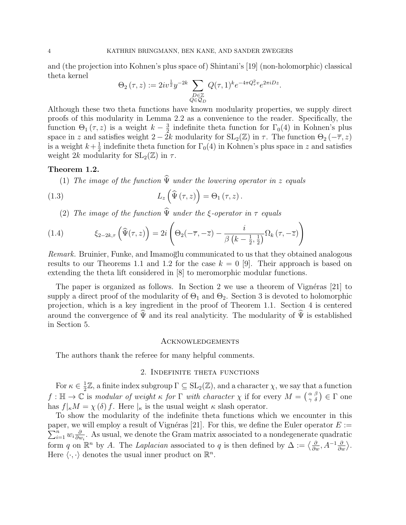and (the projection into Kohnen's plus space of) Shintani's [19] (non-holomorphic) classical theta kernel

$$
\Theta_2(\tau, z) := 2iv^{\frac{1}{2}}y^{-2k} \sum_{\substack{D \in \mathbb{Z} \\ Q \in \mathcal{Q}_D}} Q(\tau, 1)^k e^{-4\pi Q_\tau^2 v} e^{2\pi i D z}
$$

.

Although these two theta functions have known modularity properties, we supply direct proofs of this modularity in Lemma 2.2 as a convenience to the reader. Specifically, the function  $\Theta_1(\tau,z)$  is a weight  $k-\frac{3}{2}$  $\frac{3}{2}$  indefinite theta function for  $\Gamma_0(4)$  in Kohnen's plus space in z and satisfies weight  $2 - 2k$  modularity for  $SL_2(\mathbb{Z})$  in  $\tau$ . The function  $\Theta_2(-\overline{\tau}, z)$ is a weight  $k+\frac{1}{2}$  $\frac{1}{2}$  indefinite theta function for  $\Gamma_0(4)$  in Kohnen's plus space in z and satisfies weight 2k modularity for  $SL_2(\mathbb{Z})$  in  $\tau$ .

#### Theorem 1.2.

(1) The image of the function  $\widehat{\Psi}$  under the lowering operator in z equals

(1.3) 
$$
L_z\left(\widehat{\Psi}\left(\tau,z\right)\right) = \Theta_1\left(\tau,z\right).
$$

(2) The image of the function  $\widehat{\Psi}$  under the ξ-operator in  $\tau$  equals

(1.4) 
$$
\xi_{2-2k,\tau}\left(\widehat{\Psi}(\tau,z)\right) = 2i\left(\Theta_2(-\overline{\tau},-\overline{z}) - \frac{i}{\beta\left(k-\frac{1}{2},\frac{1}{2}\right)}\Omega_k(\tau,-\overline{z})\right)
$$

Remark. Bruinier, Funke, and Imamoglu communicated to us that they obtained analogous results to our Theorems 1.1 and 1.2 for the case  $k = 0$  [9]. Their approach is based on extending the theta lift considered in [8] to meromorphic modular functions.

The paper is organized as follows. In Section 2 we use a theorem of Vignéras  $[21]$  to supply a direct proof of the modularity of  $\Theta_1$  and  $\Theta_2$ . Section 3 is devoted to holomorphic projection, which is a key ingredient in the proof of Theorem 1.1. Section 4 is centered around the convergence of  $\hat{\Psi}$  and its real analyticity. The modularity of  $\hat{\Psi}$  is established in Section 5.

#### Acknowledgements

The authors thank the referee for many helpful comments.

### 2. Indefinite theta functions

For  $\kappa \in \frac{1}{2}$  $\frac{1}{2}\mathbb{Z}$ , a finite index subgroup  $\Gamma \subseteq SL_2(\mathbb{Z})$ , and a character  $\chi$ , we say that a function  $f: \mathbb{H} \to \mathbb{C}$  is modular of weight  $\kappa$  for  $\Gamma$  with character  $\chi$  if for every  $M = \begin{pmatrix} \alpha & \beta \\ \gamma & \delta \end{pmatrix} \in \Gamma$  one has  $f|_{\kappa}M = \chi(\delta) f$ . Here  $|_{\kappa}$  is the usual weight  $\kappa$  slash operator.

To show the modularity of the indefinite theta functions which we encounter in this  $\sum_{i=1}^n w_i \frac{\partial}{\partial u}$ paper, we will employ a result of Vignéras [21]. For this, we define the Euler operator  $E :=$  $\frac{\partial}{\partial w_i}$ . As usual, we denote the Gram matrix associated to a nondegenerate quadratic form q on  $\mathbb{R}^n$  by A. The Laplacian associated to q is then defined by  $\Delta := \langle \frac{\partial}{\partial w}, A^{-1} \frac{\partial}{\partial w} \rangle$ . Here  $\langle \cdot, \cdot \rangle$  denotes the usual inner product on  $\mathbb{R}^n$ .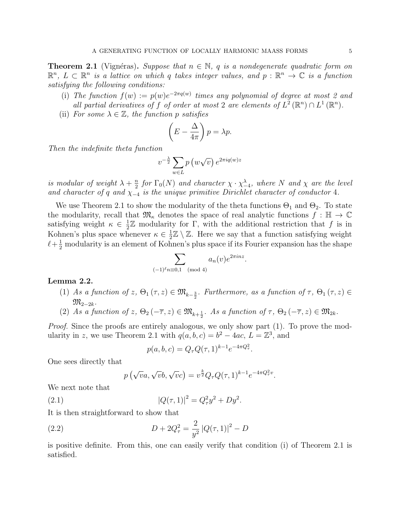**Theorem 2.1** (Vignéras). Suppose that  $n \in \mathbb{N}$ , q is a nondegenerate quadratic form on  $\mathbb{R}^n$ ,  $L \subset \mathbb{R}^n$  is a lattice on which q takes integer values, and  $p : \mathbb{R}^n \to \mathbb{C}$  is a function satisfying the following conditions:

- (i) The function  $f(w) := p(w)e^{-2\pi q(w)}$  times any polynomial of degree at most 2 and all partial derivatives of f of order at most 2 are elements of  $L^2(\mathbb{R}^n) \cap L^1(\mathbb{R}^n)$ .
- (ii) For some  $\lambda \in \mathbb{Z}$ , the function p satisfies

$$
\left(E - \frac{\Delta}{4\pi}\right)p = \lambda p.
$$

Then the indefinite theta function

$$
v^{-\frac{\lambda}{2}} \sum_{w \in L} p\left(w\sqrt{v}\right) e^{2\pi i q(w)z}
$$

is modular of weight  $\lambda + \frac{n}{2}$  $\frac{n}{2}$  for  $\Gamma_0(N)$  and character  $\chi \cdot \chi^{\lambda}_{-4}$ , where N and  $\chi$  are the level and character of q and  $\chi_{-4}$  is the unique primitive Dirichlet character of conductor 4.

We use Theorem 2.1 to show the modularity of the theta functions  $\Theta_1$  and  $\Theta_2$ . To state the modularity, recall that  $\mathfrak{M}_{\kappa}$  denotes the space of real analytic functions  $f : \mathbb{H} \to \mathbb{C}$ satisfying weight  $\kappa \in \frac{1}{2}$  $\frac{1}{2}\mathbb{Z}$  modularity for  $\Gamma$ , with the additional restriction that f is in Kohnen's plus space whenever  $\kappa \in \frac{1}{2}$  $\frac{1}{2}\mathbb{Z} \setminus \mathbb{Z}$ . Here we say that a function satisfying weight  $\ell + \frac{1}{2}$  modularity is an element of Kohnen's plus space if its Fourier expansion has the shape

$$
\sum_{(-1)^{\ell}n\equiv 0,1\pmod{4}}a_n(v)e^{2\pi i nz}
$$

.

.

#### Lemma 2.2.

- (1) As a function of  $z$ ,  $\Theta_1(\tau, z) \in \mathfrak{M}_{k-\frac{3}{2}}$ . Furthermore, as a function of  $\tau$ ,  $\Theta_1(\tau, z) \in$  $\mathfrak{M}_{2-2k}$ .
- (2) As a function of  $z$ ,  $\Theta_2(-\overline{\tau},z) \in \mathfrak{M}_{k+\frac{1}{2}}$ . As a function of  $\tau$ ,  $\Theta_2(-\overline{\tau},z) \in \mathfrak{M}_{2k}$ .

Proof. Since the proofs are entirely analogous, we only show part (1). To prove the modularity in z, we use Theorem 2.1 with  $q(a, b, c) = b^2 - 4ac$ ,  $L = \mathbb{Z}^3$ , and

$$
p(a, b, c) = Q_{\tau} Q(\tau, 1)^{k-1} e^{-4\pi Q_{\tau}^2}
$$

One sees directly that

$$
p(\sqrt{v}a, \sqrt{v}b, \sqrt{v}c) = v^{\frac{k}{2}}Q_{\tau}Q(\tau, 1)^{k-1}e^{-4\pi Q_{\tau}^2 v}.
$$

We next note that

(2.1)  $|Q(\tau, 1)|^2 = Q_\tau^2 y^2 + D y^2.$ 

It is then straightforward to show that

(2.2) 
$$
D + 2Q_{\tau}^{2} = \frac{2}{y^{2}} |Q(\tau, 1)|^{2} - D
$$

is positive definite. From this, one can easily verify that condition (i) of Theorem 2.1 is satisfied.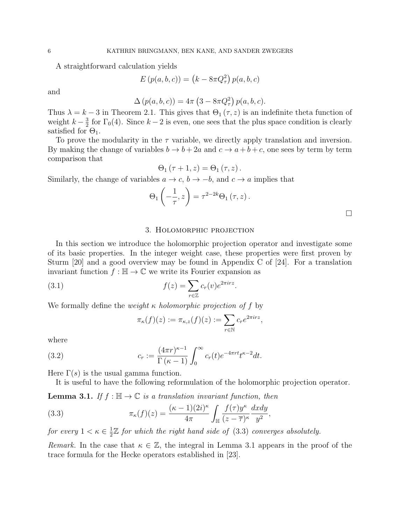A straightforward calculation yields

$$
E(p(a, b, c)) = (k - 8\pi Q_{\tau}^{2}) p(a, b, c)
$$

and

$$
\Delta(p(a, b, c)) = 4\pi (3 - 8\pi Q_{\tau}^{2}) p(a, b, c).
$$

Thus  $\lambda = k - 3$  in Theorem 2.1. This gives that  $\Theta_1(\tau, z)$  is an indefinite theta function of weight  $k-\frac{3}{2}$  $\frac{3}{2}$  for  $\Gamma_0(4)$ . Since  $k-2$  is even, one sees that the plus space condition is clearly satisfied for  $\Theta_1$ .

To prove the modularity in the  $\tau$  variable, we directly apply translation and inversion. By making the change of variables  $b \to b + 2a$  and  $c \to a + b + c$ , one sees by term by term comparison that

$$
\Theta_{1}(\tau+1,z)=\Theta_{1}(\tau,z).
$$

Similarly, the change of variables  $a \to c$ ,  $b \to -b$ , and  $c \to a$  implies that

$$
\Theta_1\left(-\frac{1}{\tau},z\right) = \tau^{2-2k}\Theta_1(\tau,z).
$$

#### 3. Holomorphic projection

In this section we introduce the holomorphic projection operator and investigate some of its basic properties. In the integer weight case, these properties were first proven by Sturm [20] and a good overview may be found in Appendix C of [24]. For a translation invariant function  $f : \mathbb{H} \to \mathbb{C}$  we write its Fourier expansion as

(3.1) 
$$
f(z) = \sum_{r \in \mathbb{Z}} c_r(v)e^{2\pi irz}.
$$

We formally define the *weight*  $\kappa$  *holomorphic projection of*  $f$  by

$$
\pi_{\kappa}(f)(z) := \pi_{\kappa,z}(f)(z) := \sum_{r \in \mathbb{N}} c_r e^{2\pi irz},
$$

where

(3.2) 
$$
c_r := \frac{(4\pi r)^{\kappa - 1}}{\Gamma(\kappa - 1)} \int_0^\infty c_r(t) e^{-4\pi rt} t^{\kappa - 2} dt.
$$

Here  $\Gamma(s)$  is the usual gamma function.

It is useful to have the following reformulation of the holomorphic projection operator.

**Lemma 3.1.** If  $f : \mathbb{H} \to \mathbb{C}$  is a translation invariant function, then

(3.3) 
$$
\pi_{\kappa}(f)(z) = \frac{(\kappa - 1)(2i)^{\kappa}}{4\pi} \int_{\mathbb{H}} \frac{f(\tau)y^{\kappa}}{(z - \overline{\tau})^{\kappa}} \frac{dxdy}{y^2},
$$

for every  $1 < \kappa \in \frac{1}{2}$  $\frac{1}{2}\mathbb{Z}$  for which the right hand side of (3.3) converges absolutely.

Remark. In the case that  $\kappa \in \mathbb{Z}$ , the integral in Lemma 3.1 appears in the proof of the trace formula for the Hecke operators established in [23].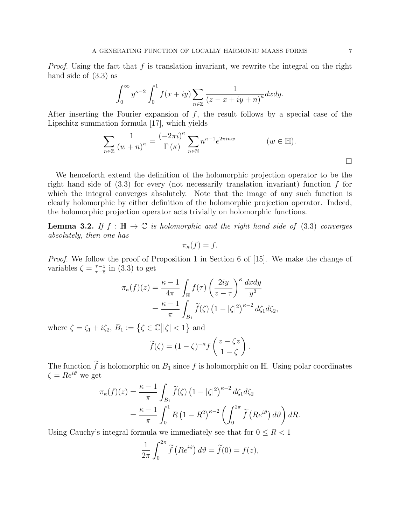*Proof.* Using the fact that f is translation invariant, we rewrite the integral on the right hand side of (3.3) as

$$
\int_0^\infty y^{\kappa-2} \int_0^1 f(x+iy) \sum_{n \in \mathbb{Z}} \frac{1}{(z-x+iy+n)^\kappa} dx dy.
$$

After inserting the Fourier expansion of  $f$ , the result follows by a special case of the Lipschitz summation formula [17], which yields

$$
\sum_{n\in\mathbb{Z}}\frac{1}{(w+n)^{\kappa}}=\frac{(-2\pi i)^{\kappa}}{\Gamma(\kappa)}\sum_{n\in\mathbb{N}}n^{\kappa-1}e^{2\pi inw} \qquad (w\in\mathbb{H}).
$$

We henceforth extend the definition of the holomorphic projection operator to be the right hand side of  $(3.3)$  for every (not necessarily translation invariant) function f for which the integral converges absolutely. Note that the image of any such function is clearly holomorphic by either definition of the holomorphic projection operator. Indeed, the holomorphic projection operator acts trivially on holomorphic functions.

**Lemma 3.2.** If  $f : \mathbb{H} \to \mathbb{C}$  is holomorphic and the right hand side of (3.3) converges absolutely, then one has

$$
\pi_{\kappa}(f) = f.
$$

*Proof.* We follow the proof of Proposition 1 in Section 6 of [15]. We make the change of variables  $\zeta = \frac{\tau - z}{\tau - \overline{z}}$  $\frac{\tau-z}{\tau-\overline{z}}$  in (3.3) to get

$$
\pi_{\kappa}(f)(z) = \frac{\kappa - 1}{4\pi} \int_{\mathbb{H}} f(\tau) \left(\frac{2iy}{z - \overline{\tau}}\right)^{\kappa} \frac{dxdy}{y^2}
$$

$$
= \frac{\kappa - 1}{\pi} \int_{B_1} \widetilde{f}(\zeta) \left(1 - |\zeta|^2\right)^{\kappa - 2} d\zeta_1 d\zeta_2,
$$

where  $\zeta = \zeta_1 + i\zeta_2$ ,  $B_1 := \{\zeta \in \mathbb{C} \mid |\zeta| < 1\}$  and

$$
\widetilde{f}(\zeta) = (1 - \zeta)^{-\kappa} f\left(\frac{z - \zeta \overline{z}}{1 - \zeta}\right).
$$

The function  $\tilde{f}$  is holomorphic on  $B_1$  since f is holomorphic on  $\mathbb{H}$ . Using polar coordinates  $\zeta = Re^{i\vartheta}$  we get

$$
\pi_{\kappa}(f)(z) = \frac{\kappa - 1}{\pi} \int_{B_1} \widetilde{f}(\zeta) \left(1 - |\zeta|^2\right)^{\kappa - 2} d\zeta_1 d\zeta_2
$$
  
= 
$$
\frac{\kappa - 1}{\pi} \int_0^1 R \left(1 - R^2\right)^{\kappa - 2} \left(\int_0^{2\pi} \widetilde{f} \left(Re^{i\vartheta}\right) d\vartheta\right) dR.
$$

Using Cauchy's integral formula we immediately see that for  $0 \leq R < 1$ 

$$
\frac{1}{2\pi} \int_0^{2\pi} \tilde{f}\left(Re^{i\vartheta}\right) d\vartheta = \tilde{f}(0) = f(z),
$$

 $\Box$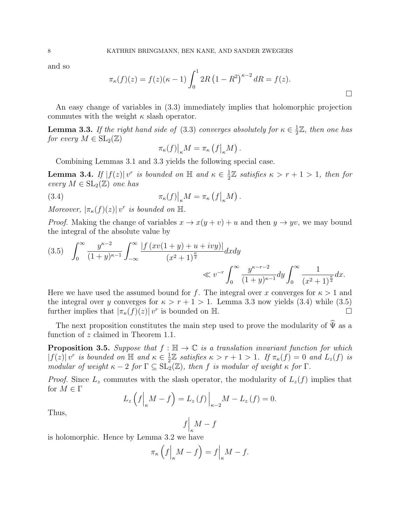and so

$$
\pi_{\kappa}(f)(z) = f(z)(\kappa - 1) \int_0^1 2R (1 - R^2)^{\kappa - 2} dR = f(z).
$$

 $\Box$ 

An easy change of variables in (3.3) immediately implies that holomorphic projection commutes with the weight  $\kappa$  slash operator.

**Lemma 3.3.** If the right hand side of (3.3) converges absolutely for  $\kappa \in \frac{1}{2}$  $\frac{1}{2}\mathbb{Z}$ , then one has for every  $M \in SL_2(\mathbb{Z})$ 

$$
\pi_{\kappa}(f)|_{\kappa} M = \pi_{\kappa} (f|_{\kappa} M).
$$

Combining Lemmas 3.1 and 3.3 yields the following special case.

**Lemma 3.4.** If  $|f(z)|v^r$  is bounded on  $\mathbb{H}$  and  $\kappa \in \frac{1}{2}$  $\frac{1}{2}\mathbb{Z}$  satisfies  $\kappa > r + 1 > 1$ , then for every  $M \in SL_2(\mathbb{Z})$  one has

(3.4) 
$$
\pi_{\kappa}(f)|_{\kappa} M = \pi_{\kappa} (f|_{\kappa} M).
$$

Moreover,  $|\pi_{\kappa}(f)(z)| v^{r}$  is bounded on  $\mathbb{H}$ .

*Proof.* Making the change of variables  $x \to x(y+v) + u$  and then  $y \to yv$ , we may bound the integral of the absolute value by

$$
(3.5) \quad \int_0^\infty \frac{y^{\kappa-2}}{(1+y)^{\kappa-1}} \int_{-\infty}^\infty \frac{|f(xv(1+y) + u + ivy)|}{(x^2+1)^{\frac{\kappa}{2}}} dx dy
$$
  

$$
\ll v^{-r} \int_0^\infty \frac{y^{\kappa-r-2}}{(1+y)^{\kappa-1}} dy \int_0^\infty \frac{1}{(x^2+1)^{\frac{\kappa}{2}}} dx.
$$

Here we have used the assumed bound for f. The integral over x converges for  $\kappa > 1$  and the integral over y converges for  $\kappa > r + 1 > 1$ . Lemma 3.3 now yields (3.4) while (3.5) further implies that  $|\pi_{\kappa}(f)(z)| v^{r}$  is bounded on H.

The next proposition constitutes the main step used to prove the modularity of  $\widehat{\Psi}$  as a function of z claimed in Theorem 1.1.

**Proposition 3.5.** Suppose that  $f : \mathbb{H} \to \mathbb{C}$  is a translation invariant function for which  $|f(z)| v^r$  is bounded on  $\mathbb H$  and  $\kappa \in \frac{1}{2}$  $\frac{1}{2}\mathbb{Z}$  satisfies  $\kappa > r + 1 > 1$ . If  $\pi_{\kappa}(f) = 0$  and  $L_z(f)$  is modular of weight  $\kappa - 2$  for  $\Gamma \subseteq SL_2(\mathbb{Z})$ , then f is modular of weight  $\kappa$  for  $\Gamma$ .

*Proof.* Since  $L_z$  commutes with the slash operator, the modularity of  $L_z(f)$  implies that for  $M \in \Gamma$ 

$$
L_z\left(f\Big|_{\kappa}M-f\right)=L_z\left(f\right)\Big|_{\kappa-2}M-L_z\left(f\right)=0.
$$

Thus,

$$
f\Big|_{\kappa}M-f
$$

is holomorphic. Hence by Lemma 3.2 we have

$$
\pi_{\kappa}\left(f\Big|_{\kappa}M-f\right)=f\Big|_{\kappa}M-f.
$$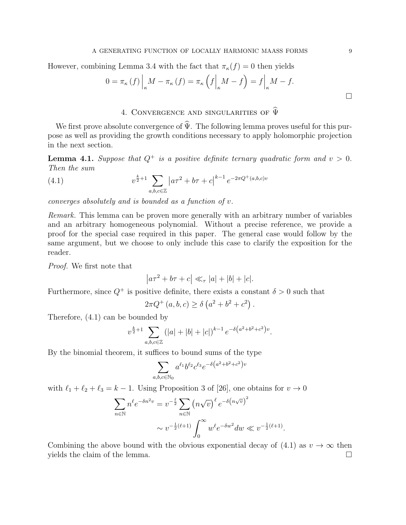However, combining Lemma 3.4 with the fact that  $\pi_{\kappa}(f) = 0$  then yields

$$
0 = \pi_{\kappa}(f) \Big|_{\kappa} M - \pi_{\kappa}(f) = \pi_{\kappa} \left( f \Big|_{\kappa} M - f \right) = f \Big|_{\kappa} M - f.
$$

# 4. CONVERGENCE AND SINGULARITIES OF  $\widehat{\Psi}$

We first prove absolute convergence of  $\hat{\Psi}$ . The following lemma proves useful for this purpose as well as providing the growth conditions necessary to apply holomorphic projection in the next section.

**Lemma 4.1.** Suppose that  $Q^+$  is a positive definite ternary quadratic form and  $v > 0$ . Then the sum

(4.1) 
$$
v^{\frac{k}{2}+1} \sum_{a,b,c \in \mathbb{Z}} \left| a\tau^2 + b\tau + c \right|^{k-1} e^{-2\pi Q^+(a,b,c)v}
$$

converges absolutely and is bounded as a function of v.

Remark. This lemma can be proven more generally with an arbitrary number of variables and an arbitrary homogeneous polynomial. Without a precise reference, we provide a proof for the special case required in this paper. The general case would follow by the same argument, but we choose to only include this case to clarify the exposition for the reader.

Proof. We first note that

$$
\left| a\tau^2 + b\tau + c \right| \ll_{\tau} |a| + |b| + |c|.
$$

Furthermore, since  $Q^+$  is positive definite, there exists a constant  $\delta > 0$  such that

$$
2\pi Q^{+}(a, b, c) \ge \delta (a^{2} + b^{2} + c^{2}).
$$

Therefore, (4.1) can be bounded by

$$
v^{\frac{k}{2}+1} \sum_{a,b,c \in \mathbb{Z}} (|a|+|b|+|c|)^{k-1} e^{-\delta(a^2+b^2+c^2)v}.
$$

By the binomial theorem, it suffices to bound sums of the type

$$
\sum_{a,b,c \in \mathbb{N}_0} a^{\ell_1} b^{\ell_2} c^{\ell_3} e^{-\delta(a^2 + b^2 + c^2)v}
$$

with  $\ell_1 + \ell_2 + \ell_3 = k - 1$ . Using Proposition 3 of [26], one obtains for  $v \to 0$ 

$$
\sum_{n \in \mathbb{N}} n^{\ell} e^{-\delta n^2 v} = v^{-\frac{\ell}{2}} \sum_{n \in \mathbb{N}} \left( n \sqrt{v} \right)^{\ell} e^{-\delta \left( n \sqrt{v} \right)^2}
$$

$$
\sim v^{-\frac{1}{2} (\ell+1)} \int_0^\infty w^\ell e^{-\delta w^2} dw \ll v^{-\frac{1}{2} (\ell+1)}.
$$

Combining the above bound with the obvious exponential decay of (4.1) as  $v \to \infty$  then yields the claim of the lemma.  $\Box$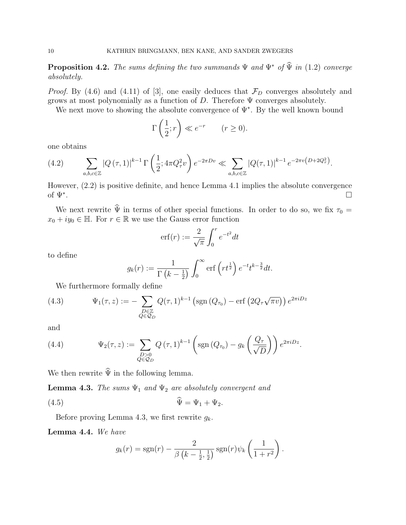**Proposition 4.2.** The sums defining the two summands  $\Psi$  and  $\Psi^*$  of  $\widehat{\Psi}$  in (1.2) converge absolutely.

*Proof.* By (4.6) and (4.11) of [3], one easily deduces that  $\mathcal{F}_D$  converges absolutely and grows at most polynomially as a function of  $D$ . Therefore  $\Psi$  converges absolutely.

We next move to showing the absolute convergence of  $\Psi^*$ . By the well known bound

$$
\Gamma\left(\frac{1}{2};r\right) \ll e^{-r} \qquad (r \ge 0).
$$

one obtains

(4.2) 
$$
\sum_{a,b,c \in \mathbb{Z}} |Q(\tau,1)|^{k-1} \Gamma\left(\frac{1}{2}; 4\pi Q_{\tau}^2 v\right) e^{-2\pi D v} \ll \sum_{a,b,c \in \mathbb{Z}} |Q(\tau,1)|^{k-1} e^{-2\pi v \left(D+2Q_{\tau}^2\right)}.
$$

However, (2.2) is positive definite, and hence Lemma 4.1 implies the absolute convergence of  $\Psi^*$ . . The contract of the contract of the contract of the contract of the contract of  $\Box$ 

We next rewrite  $\hat{\Psi}$  in terms of other special functions. In order to do so, we fix  $\tau_0 =$  $x_0 + iy_0 \in \mathbb{H}$ . For  $r \in \mathbb{R}$  we use the Gauss error function

$$
\mathrm{erf}(r) := \frac{2}{\sqrt{\pi}} \int_0^r e^{-t^2} dt
$$

to define

$$
g_k(r) := \frac{1}{\Gamma(k - \frac{1}{2})} \int_0^\infty \text{erf}\left(rt^{\frac{1}{2}}\right) e^{-t} t^{k - \frac{3}{2}} dt.
$$

We furthermore formally define

(4.3) 
$$
\Psi_1(\tau, z) := -\sum_{\substack{D \in \mathbb{Z} \\ Q \in \mathcal{Q}_D}} Q(\tau, 1)^{k-1} \left( \text{sgn} \left( Q_{\tau_0} \right) - \text{erf} \left( 2Q_\tau \sqrt{\pi v} \right) \right) e^{2\pi i D z}
$$

and

(4.4) 
$$
\Psi_2(\tau,z) := \sum_{\substack{D>0\\Q\in\mathcal{Q}_D}} Q(\tau,1)^{k-1} \left(\text{sgn}\left(Q_{\tau_0}\right) - g_k\left(\frac{Q_{\tau}}{\sqrt{D}}\right)\right) e^{2\pi i D z}.
$$

We then rewrite  $\hat{\Psi}$  in the following lemma.

**Lemma 4.3.** The sums  $\Psi_1$  and  $\Psi_2$  are absolutely convergent and

$$
\Psi = \Psi_1 + \Psi_2.
$$

Before proving Lemma 4.3, we first rewrite  $g_k$ .

Lemma 4.4. We have

$$
g_k(r) = \operatorname{sgn}(r) - \frac{2}{\beta \left(k - \frac{1}{2}, \frac{1}{2}\right)} \operatorname{sgn}(r) \psi_k\left(\frac{1}{1+r^2}\right).
$$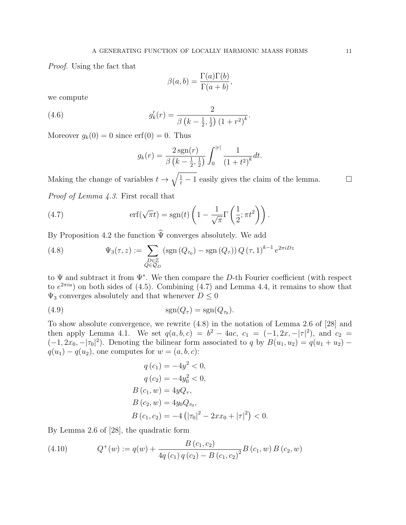Proof. Using the fact that

$$
\beta(a,b) = \frac{\Gamma(a)\Gamma(b)}{\Gamma(a+b)},
$$

we compute

(4.6) 
$$
g'_{k}(r) = \frac{2}{\beta \left(k - \frac{1}{2}, \frac{1}{2}\right) \left(1 + r^{2}\right)^{k}}.
$$

Moreover  $g_k(0) = 0$  since erf $(0) = 0$ . Thus

$$
g_k(r) = \frac{2 \operatorname{sgn}(r)}{\beta \left(k - \frac{1}{2}, \frac{1}{2}\right)} \int_0^{|r|} \frac{1}{\left(1 + t^2\right)^k} dt.
$$

Making the change of variables  $t \to \sqrt{\frac{1}{t} - 1}$  easily gives the claim of the lemma.

Proof of Lemma 4.3. First recall that

(4.7) 
$$
\operatorname{erf}(\sqrt{\pi}t) = \operatorname{sgn}(t) \left(1 - \frac{1}{\sqrt{\pi}} \Gamma\left(\frac{1}{2}; \pi t^2\right)\right).
$$

By Proposition 4.2 the function  $\hat{\Psi}$  converges absolutely. We add

(4.8) 
$$
\Psi_3(\tau, z) := \sum_{\substack{D \in \mathbb{Z} \\ Q \in \mathcal{Q}_D}} (\text{sgn}(Q_{\tau_0}) - \text{sgn}(Q_{\tau})) Q(\tau, 1)^{k-1} e^{2\pi i D z}
$$

to  $\Psi$  and subtract it from  $\Psi^*$ . We then compare the D-th Fourier coefficient (with respect to  $e^{2\pi i u}$  on both sides of (4.5). Combining (4.7) and Lemma 4.4, it remains to show that  $\Psi_3$  converges absolutely and that whenever  $D \leq 0$ 

$$
\operatorname{sgn}(Q_{\tau}) = \operatorname{sgn}(Q_{\tau_0}).
$$

To show absolute convergence, we rewrite (4.8) in the notation of Lemma 2.6 of [28] and then apply Lemma 4.1. We set  $q(a, b, c) = b^2 - 4ac$ ,  $c_1 = (-1, 2x, -|\tau|^2)$ , and  $c_2 =$  $(-1, 2x_0, -|\tau_0|^2)$ . Denoting the bilinear form associated to q by  $B(u_1, u_2) = q(u_1 + u_2)$  $q(u_1) - q(u_2)$ , one computes for  $w = (a, b, c)$ :

$$
q(c_1) = -4y^2 < 0,
$$
  
\n
$$
q(c_2) = -4y_0^2 < 0,
$$
  
\n
$$
B(c_1, w) = 4yQ_\tau,
$$
  
\n
$$
B(c_2, w) = 4y_0Q_{\tau_0},
$$
  
\n
$$
B(c_1, c_2) = -4(|\tau_0|^2 - 2xx_0 + |\tau|^2) < 0.
$$

By Lemma 2.6 of [28], the quadratic form

(4.10) 
$$
Q^{+}(w) := q(w) + \frac{B(c_1, c_2)}{4q(c_1)q(c_2) - B(c_1, c_2)^2}B(c_1, w) B(c_2, w)
$$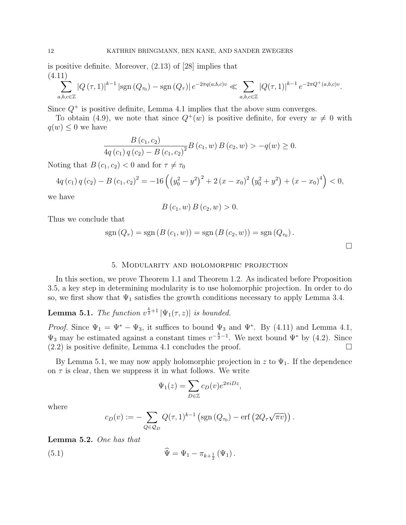is positive definite. Moreover, (2.13) of [28] implies that (4.11)

$$
\sum_{a,b,c \in \mathbb{Z}} |Q(\tau,1)|^{k-1} |\text{sgn}(Q_{\tau_0}) - \text{sgn}(Q_{\tau})| e^{-2\pi q(a,b,c)v} \ll \sum_{a,b,c \in \mathbb{Z}} |Q(\tau,1)|^{k-1} e^{-2\pi Q^+(a,b,c)v}.
$$

Since  $Q^+$  is positive definite, Lemma 4.1 implies that the above sum converges.

To obtain (4.9), we note that since  $Q^+(w)$  is positive definite, for every  $w \neq 0$  with  $q(w) \leq 0$  we have

$$
\frac{B(c_1, c_2)}{4q(c_1) q(c_2) - B(c_1, c_2)^2} B(c_1, w) B(c_2, w) > -q(w) \ge 0.
$$

Noting that  $B(c_1, c_2) < 0$  and for  $\tau \neq \tau_0$ 

$$
4q(c_1) q(c_2) - B(c_1, c_2)^2 = -16\left(\left(y_0^2 - y^2\right)^2 + 2\left(x - x_0\right)^2 \left(y_0^2 + y^2\right) + \left(x - x_0\right)^4\right) < 0,
$$

we have

$$
B(c_1, w) B(c_2, w) > 0.
$$

Thus we conclude that

$$
sgn(Q_{\tau}) = sgn(B(c_1, w)) = sgn(B(c_2, w)) = sgn(Q_{\tau_0}).
$$

 $\Box$ 

#### 5. Modularity and holomorphic projection

In this section, we prove Theorem 1.1 and Theorem 1.2. As indicated before Proposition 3.5, a key step in determining modularity is to use holomorphic projection. In order to do so, we first show that  $\Psi_1$  satisfies the growth conditions necessary to apply Lemma 3.4.

**Lemma 5.1.** The function  $v^{\frac{k}{2}+1}|\Psi_1(\tau,z)|$  is bounded.

*Proof.* Since  $\Psi_1 = \Psi^* - \Psi_3$ , it suffices to bound  $\Psi_3$  and  $\Psi^*$ . By (4.11) and Lemma 4.1,  $\Psi_3$  may be estimated against a constant times  $v^{-\frac{k}{2}-1}$ . We next bound  $\Psi^*$  by (4.2). Since  $(2.2)$  is positive definite, Lemma 4.1 concludes the proof.

By Lemma 5.1, we may now apply holomorphic projection in z to  $\Psi_1$ . If the dependence on  $\tau$  is clear, then we suppress it in what follows. We write

$$
\Psi_1(z) = \sum_{D \in \mathbb{Z}} c_D(v) e^{2\pi i D z},
$$

where

$$
c_D(v) := -\sum_{Q \in \mathcal{Q}_D} Q(\tau, 1)^{k-1} \left( \text{sgn}(Q_{\tau_0}) - \text{erf}\left( 2Q_\tau \sqrt{\pi v} \right) \right).
$$

Lemma 5.2. One has that

(5.1) 
$$
\Psi = \Psi_1 - \pi_{k+\frac{1}{2}}(\Psi_1).
$$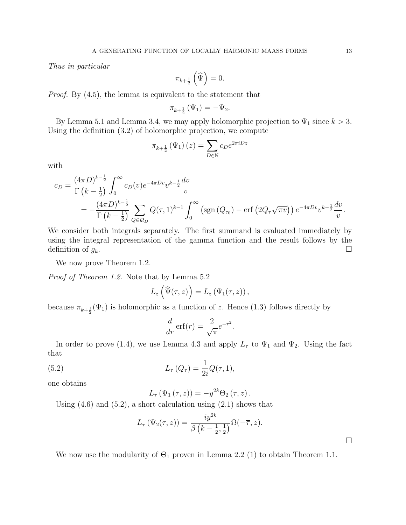Thus in particular

$$
\pi_{k+\frac{1}{2}}\left(\widehat{\Psi}\right)=0.
$$

*Proof.* By  $(4.5)$ , the lemma is equivalent to the statement that

$$
\pi_{k+\frac{1}{2}}\left(\Psi_1\right)=-\Psi_2.
$$

By Lemma 5.1 and Lemma 3.4, we may apply holomorphic projection to  $\Psi_1$  since  $k > 3$ . Using the definition (3.2) of holomorphic projection, we compute

$$
\pi_{k+\frac{1}{2}}(\Psi_1)(z) = \sum_{D \in \mathbb{N}} c_D e^{2\pi i D z}
$$

with

$$
c_D = \frac{(4\pi D)^{k-\frac{1}{2}}}{\Gamma(k-\frac{1}{2})} \int_0^\infty c_D(v) e^{-4\pi D v} v^{k-\frac{1}{2}} \frac{dv}{v}
$$
  
=  $-\frac{(4\pi D)^{k-\frac{1}{2}}}{\Gamma(k-\frac{1}{2})} \sum_{Q \in \mathcal{Q}_D} Q(\tau,1)^{k-1} \int_0^\infty \left(\text{sgn}\left(Q_{\tau_0}\right) - \text{erf}\left(2Q_\tau\sqrt{\pi v}\right)\right) e^{-4\pi D v} v^{k-\frac{1}{2}} \frac{dv}{v}.$ 

We consider both integrals separately. The first summand is evaluated immediately by using the integral representation of the gamma function and the result follows by the definition of  $g_k$ .

We now prove Theorem 1.2.

Proof of Theorem 1.2. Note that by Lemma 5.2

$$
L_z\left(\widehat{\Psi}(\tau,z)\right) = L_z\left(\Psi_1(\tau,z)\right),\,
$$

because  $\pi_{k+\frac{1}{2}}(\Psi_1)$  is holomorphic as a function of z. Hence (1.3) follows directly by

$$
\frac{d}{dr}\operatorname{erf}(r) = \frac{2}{\sqrt{\pi}}e^{-r^2}.
$$

In order to prove (1.4), we use Lemma 4.3 and apply  $L_{\tau}$  to  $\Psi_1$  and  $\Psi_2$ . Using the fact that

(5.2) 
$$
L_{\tau}(Q_{\tau}) = \frac{1}{2i}Q(\tau, 1),
$$

one obtains

$$
L_{\tau}(\Psi_1(\tau,z)) = -y^{2k}\Theta_2(\tau,z).
$$

Using  $(4.6)$  and  $(5.2)$ , a short calculation using  $(2.1)$  shows that

$$
L_{\tau}(\Psi_2(\tau,z)) = \frac{iy^{2k}}{\beta(k-\frac{1}{2},\frac{1}{2})}\Omega(-\overline{\tau},z).
$$

We now use the modularity of  $\Theta_1$  proven in Lemma 2.2 (1) to obtain Theorem 1.1.

 $\Box$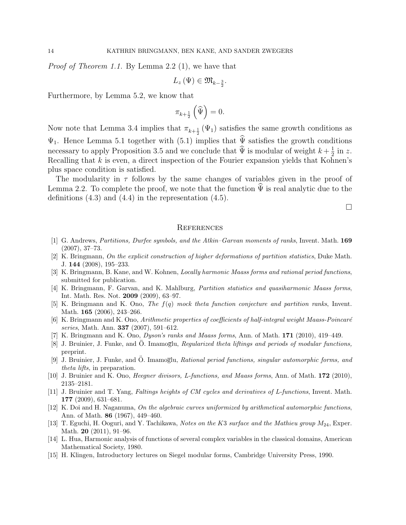Proof of Theorem 1.1. By Lemma 2.2 (1), we have that

$$
L_z(\Psi) \in \mathfrak{M}_{k-\frac{3}{2}}.
$$

Furthermore, by Lemma 5.2, we know that

$$
\pi_{k+\frac{1}{2}}\left(\widehat{\Psi}\right)=0.
$$

Now note that Lemma 3.4 implies that  $\pi_{k+\frac{1}{2}}(\Psi_1)$  satisfies the same growth conditions as  $\Psi_1$ . Hence Lemma 5.1 together with (5.1) implies that  $\hat{\Psi}$  satisfies the growth conditions necessary to apply Proposition 3.5 and we conclude that  $\hat{\Psi}$  is modular of weight  $k + \frac{1}{2}$  $rac{1}{2}$  in z. Recalling that  $k$  is even, a direct inspection of the Fourier expansion yields that Kohnen's plus space condition is satisfied.

The modularity in  $\tau$  follows by the same changes of variables given in the proof of Lemma 2.2. To complete the proof, we note that the function  $\Psi$  is real analytic due to the definitions  $(4.3)$  and  $(4.4)$  in the representation  $(4.5)$ .

 $\Box$ 

#### **REFERENCES**

- [1] G. Andrews, Partitions, Durfee symbols, and the Atkin–Garvan moments of ranks, Invent. Math. 169 (2007), 37–73.
- [2] K. Bringmann, On the explicit construction of higher deformations of partition statistics, Duke Math. J. 144 (2008), 195–233.
- [3] K. Bringmann, B. Kane, and W. Kohnen, *Locally harmonic Maass forms and rational period functions*, submitted for publication.
- [4] K. Bringmann, F. Garvan, and K. Mahlburg, Partition statistics and quasiharmonic Maass forms, Int. Math. Res. Not. 2009 (2009), 63–97.
- [5] K. Bringmann and K. Ono, The f(q) mock theta function conjecture and partition ranks, Invent. Math. **165** (2006), 243-266.
- [6] K. Bringmann and K. Ono, Arithmetic properties of coefficients of half-integral weight Maass-Poincaré series, Math. Ann. 337 (2007), 591–612.
- [7] K. Bringmann and K. Ono, Dyson's ranks and Maass forms, Ann. of Math. 171 (2010), 419–449.
- [8] J. Bruinier, J. Funke, and Ö. Imamoglu, Regularized theta liftings and periods of modular functions, preprint.
- [9] J. Bruinier, J. Funke, and  $\ddot{O}$ . Imamoglu, Rational period functions, singular automorphic forms, and theta lifts, in preparation.
- [10] J. Bruinier and K. Ono, *Heegner divisors, L-functions, and Maass forms*, Ann. of Math. **172** (2010), 2135–2181.
- [11] J. Bruinier and T. Yang, Faltings heights of CM cycles and derivatives of L-functions, Invent. Math. 177 (2009), 631–681.
- [12] K. Doi and H. Naganuma, On the algebraic curves uniformized by arithmetical automorphic functions, Ann. of Math. 86 (1967), 449–460.
- [13] T. Eguchi, H. Ooguri, and Y. Tachikawa, Notes on the K3 surface and the Mathieu group  $M_{24}$ , Exper. Math. **20** (2011), 91–96.
- [14] L. Hua, Harmonic analysis of functions of several complex variables in the classical domains, American Mathematical Society, 1980.
- [15] H. Klingen, Introductory lectures on Siegel modular forms, Cambridge University Press, 1990.